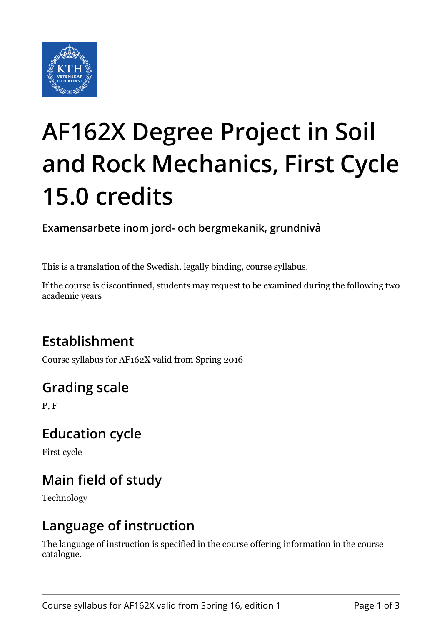

# **AF162X Degree Project in Soil and Rock Mechanics, First Cycle 15.0 credits**

**Examensarbete inom jord- och bergmekanik, grundnivå**

This is a translation of the Swedish, legally binding, course syllabus.

If the course is discontinued, students may request to be examined during the following two academic years

# **Establishment**

Course syllabus for AF162X valid from Spring 2016

# **Grading scale**

P, F

## **Education cycle**

First cycle

# **Main field of study**

Technology

## **Language of instruction**

The language of instruction is specified in the course offering information in the course catalogue.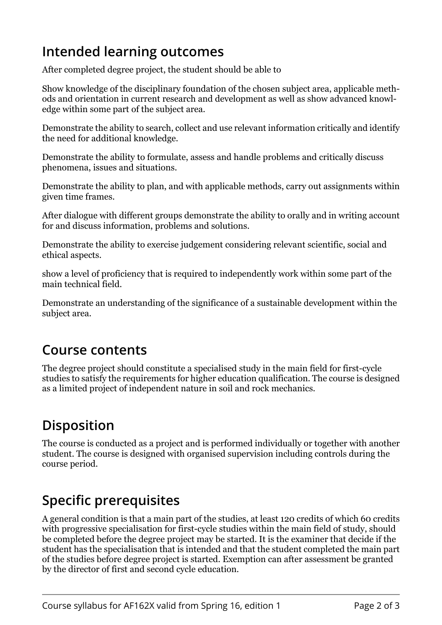# **Intended learning outcomes**

After completed degree project, the student should be able to

Show knowledge of the disciplinary foundation of the chosen subject area, applicable methods and orientation in current research and development as well as show advanced knowledge within some part of the subject area.

Demonstrate the ability to search, collect and use relevant information critically and identify the need for additional knowledge.

Demonstrate the ability to formulate, assess and handle problems and critically discuss phenomena, issues and situations.

Demonstrate the ability to plan, and with applicable methods, carry out assignments within given time frames.

After dialogue with different groups demonstrate the ability to orally and in writing account for and discuss information, problems and solutions.

Demonstrate the ability to exercise judgement considering relevant scientific, social and ethical aspects.

show a level of proficiency that is required to independently work within some part of the main technical field.

Demonstrate an understanding of the significance of a sustainable development within the subject area.

#### **Course contents**

The degree project should constitute a specialised study in the main field for first-cycle studies to satisfy the requirements for higher education qualification. The course is designed as a limited project of independent nature in soil and rock mechanics.

# **Disposition**

The course is conducted as a project and is performed individually or together with another student. The course is designed with organised supervision including controls during the course period.

## **Specific prerequisites**

A general condition is that a main part of the studies, at least 120 credits of which 60 credits with progressive specialisation for first-cycle studies within the main field of study, should be completed before the degree project may be started. It is the examiner that decide if the student has the specialisation that is intended and that the student completed the main part of the studies before degree project is started. Exemption can after assessment be granted by the director of first and second cycle education.